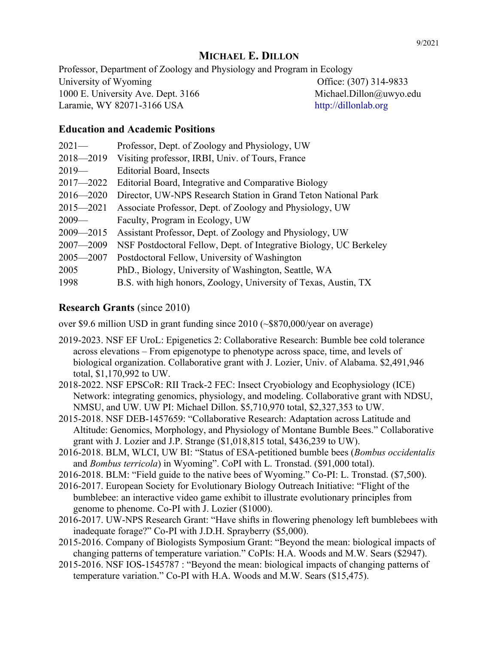# **MICHAEL E. DILLON**

Professor, Department of Zoology and Physiology and Program in Ecology University of Wyoming Office: (307) 314-9833 1000 E. University Ave. Dept. 3166 Michael.Dillon@uwyo.edu Laramie, WY 82071-3166 USA [http://dillonlab.org](http://dillonlab.org/)

### **Education and Academic Positions**

| $2021-$       | Professor, Dept. of Zoology and Physiology, UW                     |
|---------------|--------------------------------------------------------------------|
| $2018 - 2019$ | Visiting professor, IRBI, Univ. of Tours, France                   |
| $2019-$       | Editorial Board, Insects                                           |
| $2017 - 2022$ | Editorial Board, Integrative and Comparative Biology               |
| $2016 - 2020$ | Director, UW-NPS Research Station in Grand Teton National Park     |
| $2015 - 2021$ | Associate Professor, Dept. of Zoology and Physiology, UW           |
| $2009-$       | Faculty, Program in Ecology, UW                                    |
| $2009 - 2015$ | Assistant Professor, Dept. of Zoology and Physiology, UW           |
| $2007 - 2009$ | NSF Postdoctoral Fellow, Dept. of Integrative Biology, UC Berkeley |
| $2005 - 2007$ | Postdoctoral Fellow, University of Washington                      |
| 2005          | PhD., Biology, University of Washington, Seattle, WA               |
| 1998          | B.S. with high honors, Zoology, University of Texas, Austin, TX    |

### **Research Grants** (since 2010)

over \$9.6 million USD in grant funding since 2010 (~\$870,000/year on average)

- 2019-2023. NSF EF UroL: Epigenetics 2: Collaborative Research: Bumble bee cold tolerance across elevations – From epigenotype to phenotype across space, time, and levels of biological organization. Collaborative grant with J. Lozier, Univ. of Alabama. \$2,491,946 total, \$1,170,992 to UW.
- 2018-2022. NSF EPSCoR: RII Track-2 FEC: Insect Cryobiology and Ecophysiology (ICE) Network: integrating genomics, physiology, and modeling. Collaborative grant with NDSU, NMSU, and UW. UW PI: Michael Dillon. \$5,710,970 total, \$2,327,353 to UW.
- 2015-2018. NSF DEB-1457659: "Collaborative Research: Adaptation across Latitude and Altitude: Genomics, Morphology, and Physiology of Montane Bumble Bees." Collaborative grant with J. Lozier and J.P. Strange (\$1,018,815 total, \$436,239 to UW).
- 2016-2018. BLM, WLCI, UW BI: "Status of ESA-petitioned bumble bees (*Bombus occidentalis* and *Bombus terricola*) in Wyoming". CoPI with L. Tronstad. (\$91,000 total).
- 2016-2018. BLM: "Field guide to the native bees of Wyoming." Co-PI: L. Tronstad. (\$7,500).
- 2016-2017. European Society for Evolutionary Biology Outreach Initiative: "Flight of the bumblebee: an interactive video game exhibit to illustrate evolutionary principles from genome to phenome. Co-PI with J. Lozier (\$1000).
- 2016-2017. UW-NPS Research Grant: "Have shifts in flowering phenology left bumblebees with inadequate forage?" Co-PI with J.D.H. Sprayberry (\$5,000).
- 2015-2016. Company of Biologists Symposium Grant: "Beyond the mean: biological impacts of changing patterns of temperature variation." CoPIs: H.A. Woods and M.W. Sears (\$2947).
- 2015-2016. NSF IOS-1545787 : "Beyond the mean: biological impacts of changing patterns of temperature variation." Co-PI with H.A. Woods and M.W. Sears (\$15,475).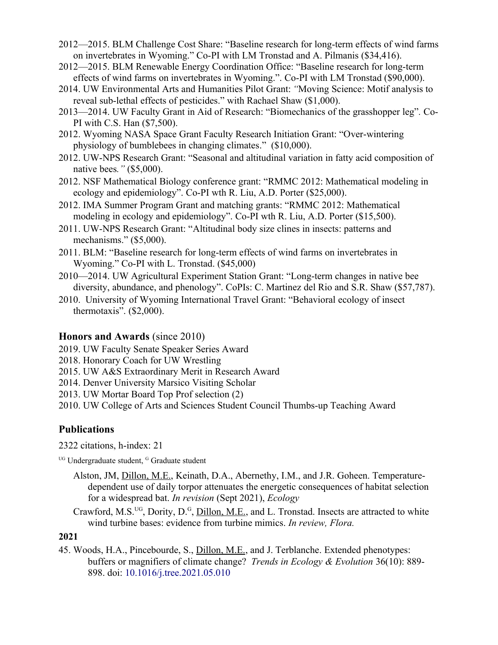- 2012—2015. BLM Challenge Cost Share: "Baseline research for long-term effects of wind farms on invertebrates in Wyoming." Co-PI with LM Tronstad and A. Pilmanis (\$34,416).
- 2012—2015. BLM Renewable Energy Coordination Office: "Baseline research for long-term effects of wind farms on invertebrates in Wyoming.". Co-PI with LM Tronstad (\$90,000).
- 2014. UW Environmental Arts and Humanities Pilot Grant: *"*Moving Science: Motif analysis to reveal sub-lethal effects of pesticides." with Rachael Shaw (\$1,000).
- 2013—2014. UW Faculty Grant in Aid of Research: "Biomechanics of the grasshopper leg"*.* Co-PI with C.S. Han (\$7,500).
- 2012. Wyoming NASA Space Grant Faculty Research Initiation Grant: "Over-wintering physiology of bumblebees in changing climates." (\$10,000).
- 2012. UW-NPS Research Grant: "Seasonal and altitudinal variation in fatty acid composition of native bees*."* (\$5,000).
- 2012. NSF Mathematical Biology conference grant: "RMMC 2012: Mathematical modeling in ecology and epidemiology". Co-PI wth R. Liu, A.D. Porter (\$25,000).
- 2012. IMA Summer Program Grant and matching grants: "RMMC 2012: Mathematical modeling in ecology and epidemiology". Co-PI wth R. Liu, A.D. Porter (\$15,500).
- 2011. UW-NPS Research Grant: "Altitudinal body size clines in insects: patterns and mechanisms." (\$5,000).
- 2011. BLM: "Baseline research for long-term effects of wind farms on invertebrates in Wyoming." Co-PI with L. Tronstad. (\$45,000)
- 2010—2014. UW Agricultural Experiment Station Grant: "Long-term changes in native bee diversity, abundance, and phenology". CoPIs: C. Martinez del Rio and S.R. Shaw (\$57,787).
- 2010. University of Wyoming International Travel Grant: "Behavioral ecology of insect thermotaxis". (\$2,000).

### **Honors and Awards** (since 2010)

- 2019. UW Faculty Senate Speaker Series Award
- 2018. Honorary Coach for UW Wrestling
- 2015. UW A&S Extraordinary Merit in Research Award
- 2014. Denver University Marsico Visiting Scholar
- 2013. UW Mortar Board Top Prof selection (2)
- 2010. UW College of Arts and Sciences Student Council Thumbs-up Teaching Award

# **Publications**

2322 citations, h-index: 21

<sup>UG</sup> Undergraduate student, <sup>G</sup> Graduate student

- Alston, JM, Dillon, M.E., Keinath, D.A., Abernethy, I.M., and J.R. Goheen. Temperaturedependent use of daily torpor attenuates the energetic consequences of habitat selection for a widespread bat. *In revision* (Sept 2021), *Ecology*
- Crawford, M.S.<sup>UG</sup>, Dority, D.<sup>G</sup>, Dillon, M.E., and L. Tronstad. Insects are attracted to white wind turbine bases: evidence from turbine mimics. *In review, Flora.*

## **2021**

45. Woods, H.A., Pincebourde, S., Dillon, M.E., and J. Terblanche. Extended phenotypes: buffers or magnifiers of climate change? *Trends in Ecology & Evolution* 36(10): 889- 898. doi: [10.1016/j.tree.2021.05.010](https://doi.org/10.1016/j.tree.2021.05.010)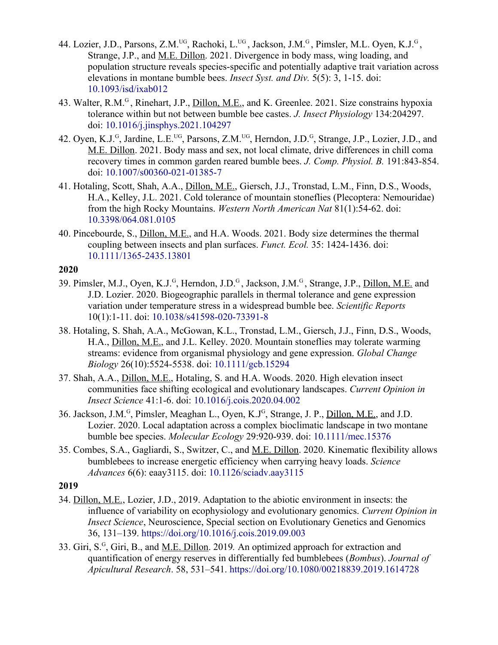- 44. Lozier, J.D., Parsons, Z.M.<sup>UG</sup>, Rachoki, L.<sup>UG</sup>, Jackson, J.M.<sup>G</sup>, Pimsler, M.L. Oyen, K.J.<sup>G</sup>, Strange, J.P., and M.E. Dillon. 2021. Divergence in body mass, wing loading, and population structure reveals species-specific and potentially adaptive trait variation across elevations in montane bumble bees. *Insect Syst. and Div.* 5(5): 3, 1-15. doi: [10.1093/isd/ixab012](https://doi.org/10.1093/isd/ixab012)
- 43. Walter, R.M.<sup>G</sup>, Rinehart, J.P., *Dillon, M.E.*, and K. Greenlee. 2021. Size constrains hypoxia tolerance within but not between bumble bee castes. *J. Insect Physiology* 134:204297. doi: [10.1016/j.jinsphys.2021.104297](https://doi.org/10.1016/j.jinsphys.2021.104297)
- 42. Oyen, K.J.<sup>G</sup>, Jardine, L.E.<sup>UG</sup>, Parsons, Z.M.<sup>UG</sup>, Herndon, J.D.<sup>G</sup>, Strange, J.P., Lozier, J.D., and M.E. Dillon. 2021. Body mass and sex, not local climate, drive differences in chill coma recovery times in common garden reared bumble bees. *J. Comp. Physiol. B.* 191:843-854. doi: [10.1007/s00360-021-01385-7](https://doi.org/10.1007/s00360-021-01385-7)
- 41. Hotaling, Scott, Shah, A.A., Dillon, M.E., Giersch, J.J., Tronstad, L.M., Finn, D.S., Woods, H.A., Kelley, J.L. 2021. Cold tolerance of mountain stoneflies (Plecoptera: Nemouridae) from the high Rocky Mountains. *Western North American Nat* 81(1):54-62. doi: [10.3398/064.081.0105](https://doi.org/10.3398/064.081.0105)
- 40. Pincebourde, S., Dillon, M.E., and H.A. Woods. 2021. Body size determines the thermal coupling between insects and plan surfaces. *Funct. Ecol.* 35: 1424-1436. doi: [10.1111/1365-2435.13801](https://doi.org/10.1111/1365-2435.13801)

- 39. Pimsler, M.J., Oyen, K.J.<sup>G</sup>, Herndon, J.D.<sup>G</sup>, Jackson, J.M.<sup>G</sup>, Strange, J.P., <u>Dillon, M.E.</u> and J.D. Lozier. 2020. Biogeographic parallels in thermal tolerance and gene expression variation under temperature stress in a widespread bumble bee. *Scientific Reports* 10(1):1-11. doi: [10.1038/s41598-020-73391-8](https://doi.org/10.1038/s41598-020-73391-8)
- 38. Hotaling, S. Shah, A.A., McGowan, K.L., Tronstad, L.M., Giersch, J.J., Finn, D.S., Woods, H.A., Dillon, M.E., and J.L. Kelley. 2020. Mountain stoneflies may tolerate warming streams: evidence from organismal physiology and gene expression. *Global Change Biology* 26(10):5524-5538. doi: [10.1111/gcb.15294](https://doi.org/10.1111/gcb.15294)
- 37. Shah, A.A., Dillon, M.E., Hotaling, S. and H.A. Woods. 2020. High elevation insect communities face shifting ecological and evolutionary landscapes. *Current Opinion in Insect Science* 41:1-6. doi: [10.1016/j.cois.2020.04.002](https://doi.org/10.1016/j.cois.2020.04.002)
- 36. Jackson, J.M.<sup>G</sup>, Pimsler, Meaghan L., Oyen, K.J<sup>G</sup>, Strange, J. P., <u>Dillon, M.E.</u>, and J.D. Lozier. 2020. Local adaptation across a complex bioclimatic landscape in two montane bumble bee species. *Molecular Ecology* 29:920-939. doi: [10.1111/mec.15376](https://doi-org.libproxy.uwyo.edu/10.1111/mec.15376)
- 35. Combes, S.A., Gagliardi, S., Switzer, C., and M.E. Dillon. 2020. Kinematic flexibility allows bumblebees to increase energetic efficiency when carrying heavy loads. *Science Advances* 6(6): eaay3115. doi: [10.1126/sciadv.aay3115](https://doi.org/10.1126/sciadv.aay3115)

- 34. Dillon, M.E., Lozier, J.D., 2019. Adaptation to the abiotic environment in insects: the influence of variability on ecophysiology and evolutionary genomics. *Current Opinion in Insect Science*, Neuroscience, Special section on Evolutionary Genetics and Genomics 36, 131–139.<https://doi.org/10.1016/j.cois.2019.09.003>
- 33. Giri, S.<sup>G</sup>, Giri, B., and <u>M.E. Dillon</u>. 2019. An optimized approach for extraction and quantification of energy reserves in differentially fed bumblebees (*Bombus*). *Journal of Apicultural Research*. 58, 531–541.<https://doi.org/10.1080/00218839.2019.1614728>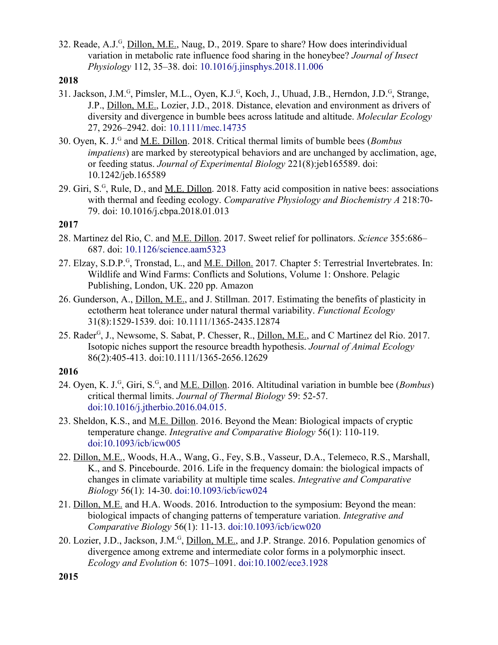32. Reade, A.J.<sup>G</sup>, Dillon, M.E., Naug, D., 2019. Spare to share? How does interindividual variation in metabolic rate influence food sharing in the honeybee? *Journal of Insect Physiology* 112, 35–38. doi: [10.1016/j.jinsphys.2018.11.006](https://doi.org/10.1016/j.jinsphys.2018.11.006)

#### **2018**

- 31. Jackson, J.M.<sup>G</sup>, Pimsler, M.L., Oyen, K.J.<sup>G</sup>, Koch, J., Uhuad, J.B., Herndon, J.D.<sup>G</sup>, Strange, J.P., Dillon, M.E., Lozier, J.D., 2018. Distance, elevation and environment as drivers of diversity and divergence in bumble bees across latitude and altitude. *Molecular Ecology* 27, 2926–2942. doi: [10.1111/mec.14735](https://doi.org/10.1111/mec.14735)
- 30. Oyen, K. J.<sup>G</sup> and M.E. Dillon. 2018. Critical thermal limits of bumble bees (*Bombus impatiens*) are marked by stereotypical behaviors and are unchanged by acclimation, age, or feeding status. *Journal of Experimental Biology* 221(8):jeb165589. doi: [10.1242/jeb.165589](https://dx.doi.org/10.1242/jeb.165589)
- 29. Giri, S.<sup>G</sup>, Rule, D., and <u>M.E. Dillon</u>. 2018. Fatty acid composition in native bees: associations with thermal and feeding ecology. *Comparative Physiology and Biochemistry A* 218:70- 79. doi: [10.1016/j.cbpa.2018.01.013](https://doi.org/10.1016/j.cbpa.2018.01.013)

### **2017**

- 28. Martinez del Rio, C. and M.E. Dillon. 2017. Sweet relief for pollinators. *Science* 355:686– 687. doi: [10.1126/science.aam5323](https://dx.doi.org/10.1126/science.aam5323)
- 27. Elzay, S.D.P.<sup>G</sup>, Tronstad, L., and <u>M.E. Dillon.</u> 2017. Chapter 5: Terrestrial Invertebrates. In: Wildlife and Wind Farms: Conflicts and Solutions, Volume 1: Onshore. Pelagic Publishing, London, UK. 220 pp. [Amazon](https://www.amazon.com/Wildlife-Wind-Farms-Conflicts-Solutions/dp/1784270598/ref=sr_1_sc_1?ie=UTF8&qid=1469716318&sr=8-1-spell&keywords=wildlife+and+windfarms)
- 26. Gunderson, A., Dillon, M.E., and J. Stillman. 2017. Estimating the benefits of plasticity in ectotherm heat tolerance under natural thermal variability. *Functional Ecology*  31(8):1529-1539. doi: [10.1111/1365-2435.12874](http://dx.doi.org/10.1111/1365-2435.12874)
- 25. Rader<sup>G</sup>, J., Newsome, S. Sabat, P. Chesser, R., *Dillon, M.E.*, and C Martinez del Rio. 2017. Isotopic niches support the resource breadth hypothesis. *Journal of Animal Ecology* 86(2):405-413. [doi:10.1111/1365-2656.12629](http://dx.doi.org/10.1111/1365-2656.12629)

- 24. Oyen, K. J.<sup>G</sup>, Giri, S.<sup>G</sup>, and <u>M.E. Dillon</u>. 2016. Altitudinal variation in bumble bee (*Bombus*) critical thermal limits. *Journal of Thermal Biology* 59: 52-57. [doi:10.1016/j.jtherbio.2016.04.015.](https://dx.doi.org/10.1016/j.jtherbio.2016.04.015)
- 23. Sheldon, K.S., and M.E. Dillon. 2016. Beyond the Mean: Biological impacts of cryptic temperature change. *Integrative and Comparative Biology* 56(1): 110-119. [doi:10.1093/icb/icw005](https://dx.doi.org/10.1093/icb/icw005)
- 22. Dillon, M.E., Woods, H.A., Wang, G., Fey, S.B., Vasseur, D.A., Telemeco, R.S., Marshall, K., and S. Pincebourde. 2016. Life in the frequency domain: the biological impacts of changes in climate variability at multiple time scales. *Integrative and Comparative Biology* 56(1): 14-30. [doi:10.1093/icb/icw024](https://dx.doi.org/10.1093/icb/icw024)
- 21. Dillon, M.E. and H.A. Woods. 2016. Introduction to the symposium: Beyond the mean: biological impacts of changing patterns of temperature variation. *Integrative and Comparative Biology* 56(1): 11-13. [doi:10.1093/icb/icw020](https://dx.doi.org/10.1093/icb/icw020)
- 20. Lozier, J.D., Jackson, J.M.<sup>G</sup>, *Dillon, M.E.*, and J.P. Strange. 2016. Population genomics of divergence among extreme and intermediate color forms in a polymorphic insect. *Ecology and Evolution* 6: 1075–1091. [doi:10.1002/ece3.1928](https://dx.doi.org/10.1002/ece3.1928)

**<sup>2015</sup>**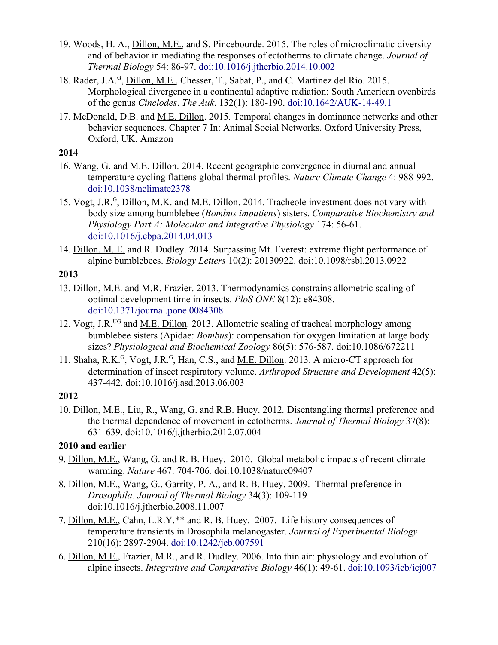- 19. Woods, H. A., Dillon, M.E., and S. Pincebourde. 2015. The roles of microclimatic diversity and of behavior in mediating the responses of ectotherms to climate change. *Journal of Thermal Biology* 54: 86-97. [doi:10.1016/j.jtherbio.2014.10.002](https://dx.doi.org/10.1016/j.jtherbio.2014.10.002)
- 18. Rader, J.A.<sup>G</sup>, Dillon, M.E., Chesser, T., Sabat, P., and C. Martinez del Rio. 2015. Morphological divergence in a continental adaptive radiation: South American ovenbirds of the genus *Cinclodes*. *The Auk*. 132(1): 180-190. [doi:10.1642/AUK-14-49.1](http://dx.doi.org/10.1642/AUK-14-49.1)
- 17. McDonald, D.B. and M.E. Dillon. 2015*.* Temporal changes in dominance networks and other behavior sequences. Chapter 7 In: Animal Social Networks. Oxford University Press, Oxford, UK. [Amazon](https://www.amazon.com/Animal-Social-Networks-Jens-Krause/dp/0199679053)

- 16. Wang, G. and M.E. Dillon. 2014. Recent geographic convergence in diurnal and annual temperature cycling flattens global thermal profiles. *Nature Climate Change* 4: 988-992. [doi:10.1038/nclimate2378](http://dx.doi.org/10.1038/nclimate2378)
- 15. Vogt, J.R.<sup>G</sup>, Dillon, M.K. and <u>M.E. Dillon</u>. 2014. Tracheole investment does not vary with body size among bumblebee (*Bombus impatiens*) sisters. *Comparative Biochemistry and Physiology Part A: Molecular and Integrative Physiology* 174: 56-61. [doi:10.1016/j.cbpa.2014.04.013](http://dx.doi.org/10.1016/j.cbpa.2014.04.013)
- 14. Dillon, M. E. and R. Dudley. 2014. Surpassing Mt. Everest: extreme flight performance of alpine bumblebees. *Biology Letters* 10(2): 20130922. [doi:10.1098/rsbl.2013.0922](http://dx.doi.org/10.1098/rsbl.2013.0922)

### **2013**

- 13. Dillon, M.E. and M.R. Frazier. 2013. Thermodynamics constrains allometric scaling of optimal development time in insects. *PloS ONE* 8(12): e84308. [doi:10.1371/journal.pone.0084308](http://dx.doi.org/10.1371/journal.pone.0084308)
- 12. Vogt, J.R.<sup>UG</sup> and <u>M.E. Dillon</u>. 2013. Allometric scaling of tracheal morphology among bumblebee sisters (Apidae: *Bombus*): compensation for oxygen limitation at large body sizes? *Physiological and Biochemical Zoology* 86(5): 576-587. [doi:10.1086/672211](http://dx.doi.org/10.1086/672211)
- 11. Shaha, R.K.<sup>G</sup>, Vogt, J.R.<sup>G</sup>, Han, C.S., and <u>M.E. Dillon</u>. 2013. A micro-CT approach for determination of insect respiratory volume. *Arthropod Structure and Development* 42(5): 437-442. [doi:10.1016/j.asd.2013.06.003](http://dx.doi.org/10.1016/j.asd.2013.06.003)

### **2012**

10. Dillon, M.E., Liu, R., Wang, G. and R.B. Huey. 2012*.* Disentangling thermal preference and the thermal dependence of movement in ectotherms. *Journal of Thermal Biology* 37(8): 631-639. [doi:10.1016/j.jtherbio.2012.07.004](http://dx.doi.org/10.1016/j.jtherbio.2012.07.004)

## **2010 and earlier**

- 9. Dillon, M.E., Wang, G. and R. B. Huey. 2010. Global metabolic impacts of recent climate warming. *Nature* 467: 704-706*.* [doi:10.1038/nature09407](http://dx.doi.org/10.1038/nature09407)
- 8. Dillon, M.E., Wang, G., Garrity, P. A., and R. B. Huey. 2009. Thermal preference in *Drosophila. Journal of Thermal Biology* 34(3): 109-119*.* [doi:10.1016/j.jtherbio.2008.11.007](http://dx.doi.org/10.1016/j.jtherbio.2008.11.007)
- 7. Dillon, M.E., Cahn, L.R.Y.\*\* and R. B. Huey. 2007. Life history consequences of temperature transients in Drosophila melanogaster. *Journal of Experimental Biology* 210(16): 2897-2904. [doi:10.1242/jeb.007591](http://dx.doi.org/10.1242/jeb.007591)
- 6. Dillon, M.E., Frazier, M.R., and R. Dudley. 2006. Into thin air: physiology and evolution of alpine insects. *Integrative and Comparative Biology* 46(1): 49-61. [doi:10.1093/icb/icj007](http://dx.doi.org/10.1093/icb/icj007)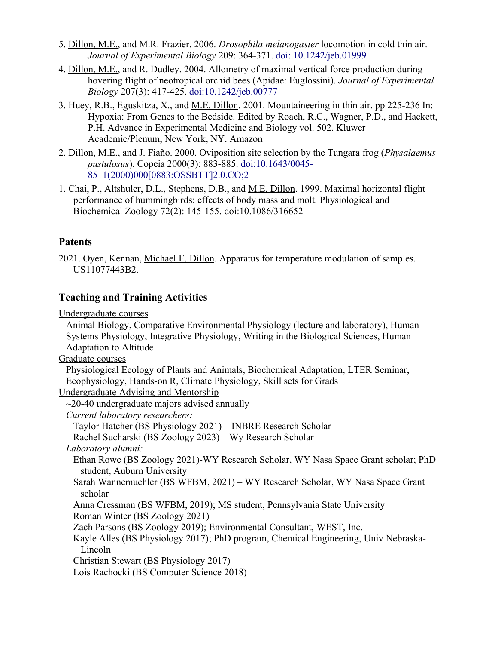- 5. Dillon, M.E., and M.R. Frazier. 2006. *Drosophila melanogaster* locomotion in cold thin air. *Journal of Experimental Biology* 209: 364-371. [doi: 10.1242/jeb.01999](http://dx.doi.org/10.1242/jeb.01999)
- 4. Dillon, M.E., and R. Dudley. 2004. Allometry of maximal vertical force production during hovering flight of neotropical orchid bees (Apidae: Euglossini). *Journal of Experimental Biology* 207(3): 417-425. [doi:10.1242/jeb.00777](http://dx.doi.org/10.1242/jeb.00777)
- 3. Huey, R.B., Eguskitza, X., and M.E. Dillon. 2001. Mountaineering in thin air. pp 225-236 In: Hypoxia: From Genes to the Bedside. Edited by Roach, R.C., Wagner, P.D., and Hackett, P.H. Advance in Experimental Medicine and Biology vol. 502. Kluwer Academic/Plenum, New York, NY. [Amazon](https://www.amazon.com/Hypoxia-Bedside-Advances-Experimental-Medicine-ebook/dp/B000PY3PBM/ref=sr_1_1?ie=UTF8&qid=1469718946&sr=8-1&keywords=hypoxia+from+genes+to+the+bedside)
- 2. Dillon, M.E., and J. Fiaño. 2000. Oviposition site selection by the Tungara frog (*Physalaemus pustulosus*). Copeia 2000(3): 883-885. [doi:10.1643/0045-](http://dx.doi.org/10.1643/0045-8511(2000)000%5B0883:OSSBTT%5D2.0.CO;2) [8511\(2000\)000\[0883:OSSBTT\]2.0.CO;2](http://dx.doi.org/10.1643/0045-8511(2000)000%5B0883:OSSBTT%5D2.0.CO;2)
- 1. Chai, P., Altshuler, D.L., Stephens, D.B., and M.E. Dillon. 1999. Maximal horizontal flight performance of hummingbirds: effects of body mass and molt. Physiological and Biochemical Zoology 72(2): 145-155. [doi:10.1086/316652](http://dx.doi.org/10.1086/316652)

# **Patents**

2021. Oyen, Kennan, Michael E. Dillon. Apparatus for temperature modulation of samples. US11077443B2.

# **Teaching and Training Activities**

Undergraduate courses

Animal Biology, Comparative Environmental Physiology (lecture and laboratory), Human Systems Physiology, Integrative Physiology, Writing in the Biological Sciences, Human Adaptation to Altitude

Graduate courses

Physiological Ecology of Plants and Animals, Biochemical Adaptation, LTER Seminar, Ecophysiology, Hands-on R, Climate Physiology, Skill sets for Grads

Undergraduate Advising and Mentorship

- $\sim$ 20-40 undergraduate majors advised annually
- *Current laboratory researchers:*

Taylor Hatcher (BS Physiology 2021) – INBRE Research Scholar

Rachel Sucharski (BS Zoology 2023) – Wy Research Scholar

*Laboratory alumni:*

Ethan Rowe (BS Zoology 2021)-WY Research Scholar, WY Nasa Space Grant scholar; PhD student, Auburn University

Sarah Wannemuehler (BS WFBM, 2021) – WY Research Scholar, WY Nasa Space Grant scholar

Anna Cressman (BS WFBM, 2019); MS student, Pennsylvania State University Roman Winter (BS Zoology 2021)

Zach Parsons (BS Zoology 2019); Environmental Consultant, WEST, Inc.

Kayle Alles (BS Physiology 2017); PhD program, Chemical Engineering, Univ Nebraska-Lincoln

Christian Stewart (BS Physiology 2017)

Lois Rachocki (BS Computer Science 2018)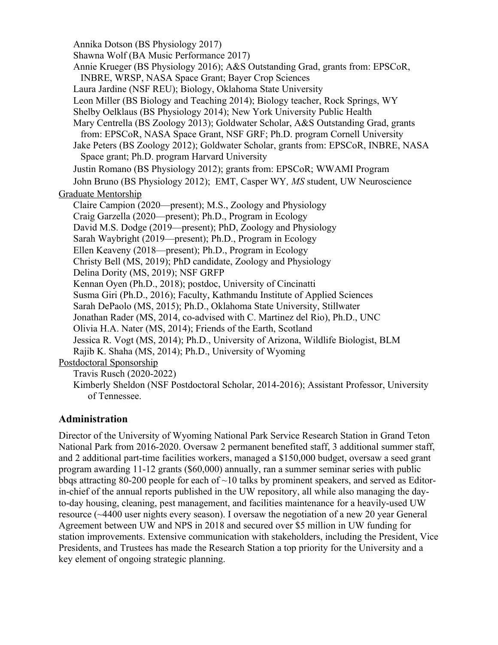Annika Dotson (BS Physiology 2017) Shawna Wolf (BA Music Performance 2017) Annie Krueger (BS Physiology 2016); A&S Outstanding Grad, grants from: EPSCoR, INBRE, WRSP, NASA Space Grant; Bayer Crop Sciences Laura Jardine (NSF REU); Biology, Oklahoma State University Leon Miller (BS Biology and Teaching 2014); Biology teacher, Rock Springs, WY Shelby Oelklaus (BS Physiology 2014); New York University Public Health Mary Centrella (BS Zoology 2013); Goldwater Scholar, A&S Outstanding Grad, grants from: EPSCoR, NASA Space Grant, NSF GRF; Ph.D. program Cornell University Jake Peters (BS Zoology 2012); Goldwater Scholar, grants from: EPSCoR, INBRE, NASA Space grant; Ph.D. program Harvard University Justin Romano (BS Physiology 2012); grants from: EPSCoR; WWAMI Program John Bruno (BS Physiology 2012); EMT, Casper WY*, MS* student, UW Neuroscience Graduate Mentorship Claire Campion (2020—present); M.S., Zoology and Physiology Craig Garzella (2020—present); Ph.D., Program in Ecology David M.S. Dodge (2019—present); PhD, Zoology and Physiology Sarah Waybright (2019—present); Ph.D., Program in Ecology Ellen Keaveny (2018—present); Ph.D., Program in Ecology Christy Bell (MS, 2019); PhD candidate, Zoology and Physiology Delina Dority (MS, 2019); NSF GRFP Kennan Oyen (Ph.D., 2018); postdoc, University of Cincinatti Susma Giri (Ph.D., 2016); Faculty, Kathmandu Institute of Applied Sciences Sarah DePaolo (MS, 2015); Ph.D., Oklahoma State University, Stillwater Jonathan Rader (MS, 2014, co-advised with C. Martinez del Rio), Ph.D., UNC Olivia H.A. Nater (MS, 2014); Friends of the Earth, Scotland Jessica R. Vogt (MS, 2014); Ph.D., University of Arizona, Wildlife Biologist, BLM Rajib K. Shaha (MS, 2014); Ph.D., University of Wyoming Postdoctoral Sponsorship Travis Rusch (2020-2022) Kimberly Sheldon (NSF Postdoctoral Scholar, 2014-2016); Assistant Professor, University of Tennessee.

### **Administration**

Director of the University of Wyoming National Park Service Research Station in Grand Teton National Park from 2016-2020. Oversaw 2 permanent benefited staff, 3 additional summer staff, and 2 additional part-time facilities workers, managed a \$150,000 budget, oversaw a seed grant program awarding 11-12 grants (\$60,000) annually, ran a summer seminar series with public bbqs attracting 80-200 people for each of  $\sim$ 10 talks by prominent speakers, and served as Editorin-chief of the annual reports published in the UW repository, all while also managing the dayto-day housing, cleaning, pest management, and facilities maintenance for a heavily-used UW resource (~4400 user nights every season). I oversaw the negotiation of a new 20 year General Agreement between UW and NPS in 2018 and secured over \$5 million in UW funding for station improvements. Extensive communication with stakeholders, including the President, Vice Presidents, and Trustees has made the Research Station a top priority for the University and a key element of ongoing strategic planning.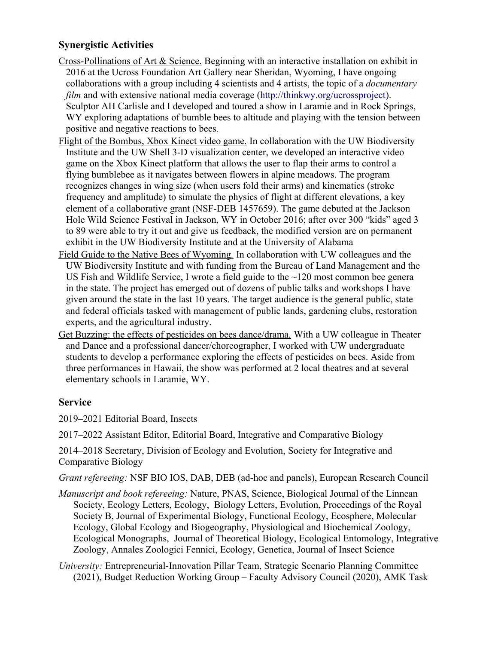# **Synergistic Activities**

- Cross-Pollinations of Art & Science. Beginning with an interactive installation on exhibit in 2016 at the Ucross Foundation Art Gallery near Sheridan, Wyoming, I have ongoing collaborations with a group including 4 scientists and 4 artists, the topic of a *documentary film* and with extensive national media coverage [\(http://thinkwy.org/ucrossproject](http://thinkwy.org/ucrossproject)). Sculptor AH Carlisle and I developed and toured a show in Laramie and in Rock Springs, WY exploring adaptations of bumble bees to altitude and playing with the tension between positive and negative reactions to bees.
- Flight of the Bombus, Xbox Kinect video game. In collaboration with the UW Biodiversity Institute and the UW Shell 3-D visualization center, we developed an interactive video game on the Xbox Kinect platform that allows the user to flap their arms to control a flying bumblebee as it navigates between flowers in alpine meadows. The program recognizes changes in wing size (when users fold their arms) and kinematics (stroke frequency and amplitude) to simulate the physics of flight at different elevations, a key element of a collaborative grant (NSF-DEB 1457659). The game debuted at the Jackson Hole Wild Science Festival in Jackson, WY in October 2016; after over 300 "kids" aged 3 to 89 were able to try it out and give us feedback, the modified version are on permanent exhibit in the UW Biodiversity Institute and at the University of Alabama
- [Field Guide to the Native Bees of Wyoming](https://wyobiodiversity.net/collections/frontpage/products/native-bees-of-wyoming-field-guide)*.* In collaboration with UW colleagues and the UW Biodiversity Institute and with funding from the Bureau of Land Management and the US Fish and Wildlife Service, I wrote a field guide to the ~120 most common bee genera in the state. The project has emerged out of dozens of public talks and workshops I have given around the state in the last 10 years. The target audience is the general public, state and federal officials tasked with management of public lands, gardening clubs, restoration experts, and the agricultural industry.
- Get Buzzing: the effects of pesticides on bees dance/drama*.* With a UW colleague in Theater and Dance and a professional dancer/choreographer, I worked with UW undergraduate students to develop a performance exploring the effects of pesticides on bees. Aside from three performances in Hawaii, the show was performed at 2 local theatres and at several elementary schools in Laramie, WY.

## **Service**

- 2019–2021 Editorial Board, Insects
- 2017–2022 Assistant Editor, Editorial Board, Integrative and Comparative Biology

2014–2018 Secretary, Division of Ecology and Evolution, Society for Integrative and Comparative Biology

*Grant refereeing:* NSF BIO IOS, DAB, DEB (ad-hoc and panels), European Research Council

- *Manuscript and book refereeing:* Nature, PNAS, Science, Biological Journal of the Linnean Society, Ecology Letters, Ecology, Biology Letters, Evolution, Proceedings of the Royal Society B, Journal of Experimental Biology, Functional Ecology, Ecosphere, Molecular Ecology, Global Ecology and Biogeography, Physiological and Biochemical Zoology, Ecological Monographs, Journal of Theoretical Biology, Ecological Entomology, Integrative Zoology, Annales Zoologici Fennici, Ecology, Genetica, Journal of Insect Science
- *University:* Entrepreneurial-Innovation Pillar Team, Strategic Scenario Planning Committee (2021), Budget Reduction Working Group – Faculty Advisory Council (2020), AMK Task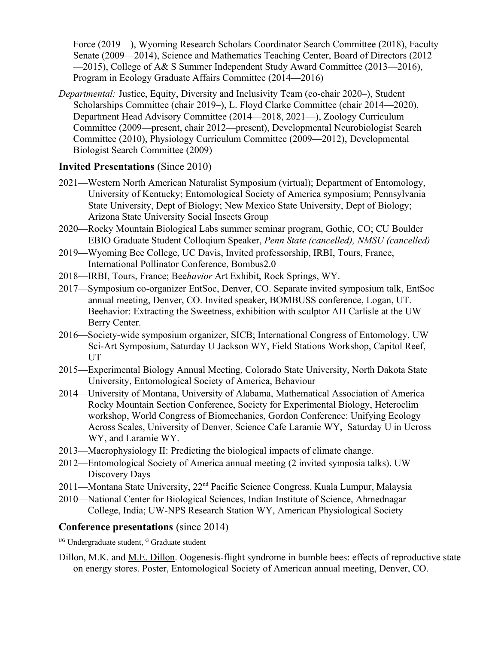Force (2019—), Wyoming Research Scholars Coordinator Search Committee (2018), Faculty Senate (2009—2014), Science and Mathematics Teaching Center, Board of Directors (2012 —2015), College of A& S Summer Independent Study Award Committee (2013—2016), Program in Ecology Graduate Affairs Committee (2014—2016)

*Departmental:* Justice, Equity, Diversity and Inclusivity Team (co-chair 2020–), Student Scholarships Committee (chair 2019–), L. Floyd Clarke Committee (chair 2014—2020), Department Head Advisory Committee (2014—2018, 2021—), Zoology Curriculum Committee (2009—present, chair 2012—present), Developmental Neurobiologist Search Committee (2010), Physiology Curriculum Committee (2009—2012), Developmental Biologist Search Committee (2009)

## **Invited Presentations** (Since 2010)

- 2021—Western North American Naturalist Symposium (virtual); Department of Entomology, University of Kentucky; Entomological Society of America symposium; Pennsylvania State University, Dept of Biology; New Mexico State University, Dept of Biology; Arizona State University Social Insects Group
- 2020—Rocky Mountain Biological Labs summer seminar program, Gothic, CO; CU Boulder EBIO Graduate Student Colloqium Speaker, *Penn State (cancelled), NMSU (cancelled)*
- 2019—Wyoming Bee College, UC Davis, Invited professorship, IRBI, Tours, France, International Pollinator Conference, Bombus2.0
- 2018—IRBI, Tours, France; Bee*havior* Art Exhibit, Rock Springs, WY.
- 2017—Symposium co-organizer EntSoc, Denver, CO. Separate invited symposium talk, EntSoc annual meeting, Denver, CO. Invited speaker, BOMBUSS conference, Logan, UT. Beehavior: Extracting the Sweetness, exhibition with sculptor AH Carlisle at the UW Berry Center.
- 2016—Society-wide symposium organizer, SICB; International Congress of Entomology, UW Sci-Art Symposium, Saturday U Jackson WY, Field Stations Workshop, Capitol Reef, UT
- 2015—Experimental Biology Annual Meeting, Colorado State University, North Dakota State University, Entomological Society of America, Behaviour
- 2014—University of Montana, University of Alabama, Mathematical Association of America Rocky Mountain Section Conference, Society for Experimental Biology, Heteroclim workshop, World Congress of Biomechanics, Gordon Conference: Unifying Ecology Across Scales, University of Denver, Science Cafe Laramie WY, Saturday U in Ucross WY, and Laramie WY.
- 2013—Macrophysiology II: Predicting the biological impacts of climate change.
- 2012—Entomological Society of America annual meeting (2 invited symposia talks). UW Discovery Days
- 2011—Montana State University, 22nd Pacific Science Congress, Kuala Lumpur, Malaysia
- 2010—National Center for Biological Sciences, Indian Institute of Science, Ahmednagar College, India; UW-NPS Research Station WY, American Physiological Society

## **Conference presentations** (since 2014)

<sup>UG</sup> Undergraduate student, <sup>G</sup> Graduate student

Dillon, M.K. and M.E. Dillon. Oogenesis-flight syndrome in bumble bees: effects of reproductive state on energy stores. Poster, Entomological Society of American annual meeting, Denver, CO.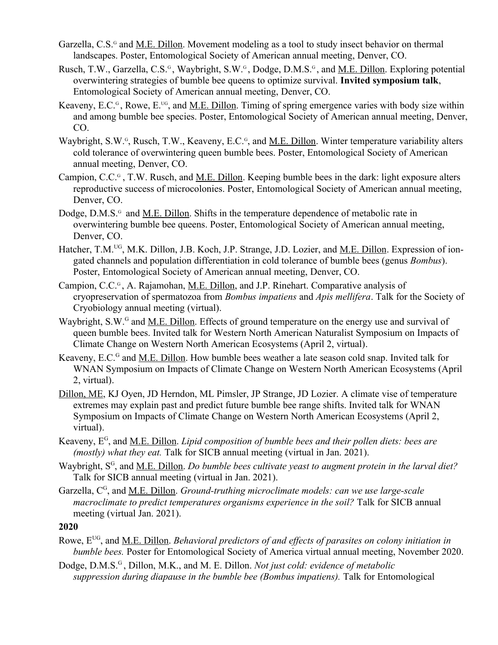- Garzella, C.S.<sup>G</sup> and <u>M.E. Dillon</u>. Movement modeling as a tool to study insect behavior on thermal landscapes. Poster, Entomological Society of American annual meeting, Denver, CO.
- Rusch, T.W., Garzella, C.S.<sup>G</sup>, Waybright, S.W.<sup>G</sup>, Dodge, D.M.S.<sup>G</sup>, and <u>M.E. Dillon</u>. Exploring potential overwintering strategies of bumble bee queens to optimize survival. **Invited symposium talk**, Entomological Society of American annual meeting, Denver, CO.
- Keaveny, E.C. $G$ , Rowe, E.<sup>ug</sup>, and M.E. Dillon. Timing of spring emergence varies with body size within and among bumble bee species. Poster, Entomological Society of American annual meeting, Denver, CO.
- Waybright, S.W.<sup>G</sup>, Rusch, T.W., Keaveny, E.C.<sup>G</sup>, and <u>M.E. Dillon</u>. Winter temperature variability alters cold tolerance of overwintering queen bumble bees. Poster, Entomological Society of American annual meeting, Denver, CO.
- Campion, C.C.<sup>G</sup>, T.W. Rusch, and <u>M.E. Dillon</u>. Keeping bumble bees in the dark: light exposure alters reproductive success of microcolonies. Poster, Entomological Society of American annual meeting, Denver, CO.
- Dodge, D.M.S.<sup>G</sup> and <u>M.E. Dillon</u>. Shifts in the temperature dependence of metabolic rate in overwintering bumble bee queens. Poster, Entomological Society of American annual meeting, Denver, CO.
- Hatcher, T.M.<sup>UG</sup>, M.K. Dillon, J.B. Koch, J.P. Strange, J.D. Lozier, and <u>M.E. Dillon</u>. Expression of iongated channels and population differentiation in cold tolerance of bumble bees (genus *Bombus*). Poster, Entomological Society of American annual meeting, Denver, CO.
- Campion, C.C.<sup>G</sup>, A. Rajamohan, M.E. Dillon, and J.P. Rinehart. Comparative analysis of cryopreservation of spermatozoa from *Bombus impatiens* and *Apis mellifera*. Talk for the Society of Cryobiology annual meeting (virtual).
- Waybright, S.W.<sup>G</sup> and <u>M.E. Dillon</u>. Effects of ground temperature on the energy use and survival of queen bumble bees. Invited talk for Western North American Naturalist Symposium on Impacts of Climate Change on Western North American Ecosystems (April 2, virtual).
- Keaveny, E.C.<sup>G</sup> and <u>M.E. Dillon</u>. How bumble bees weather a late season cold snap. Invited talk for WNAN Symposium on Impacts of Climate Change on Western North American Ecosystems (April 2, virtual).
- Dillon, ME, KJ Oyen, JD Herndon, ML Pimsler, JP Strange, JD Lozier. A climate vise of temperature extremes may explain past and predict future bumble bee range shifts. Invited talk for WNAN Symposium on Impacts of Climate Change on Western North American Ecosystems (April 2, virtual).
- Keaveny, E<sup>G</sup>, and <u>M.E. Dillon</u>. *Lipid composition of bumble bees and their pollen diets: bees are (mostly) what they eat.* Talk for SICB annual meeting (virtual in Jan. 2021).
- Waybright, S<sup>G</sup>, and <u>M.E. Dillon</u>. *Do bumble bees cultivate yeast to augment protein in the larval diet?* Talk for SICB annual meeting (virtual in Jan. 2021).
- Garzella, C<sup>G</sup>, and <u>M.E. Dillon</u>. *Ground-truthing microclimate models: can we use large-scale macroclimate to predict temperatures organisms experience in the soil?* Talk for SICB annual meeting (virtual Jan. 2021).

- Rowe, E<sup>UG</sup>, and <u>M.E. Dillon</u>. *Behavioral predictors of and effects of parasites on colony initiation in bumble bees.* Poster for Entomological Society of America virtual annual meeting, November 2020.
- Dodge, D.M.S.<sup>G</sup>, Dillon, M.K., and M. E. Dillon. *Not just cold: evidence of metabolic* suppression during diapause in the bumble bee (Bombus impatiens). Talk for Entomological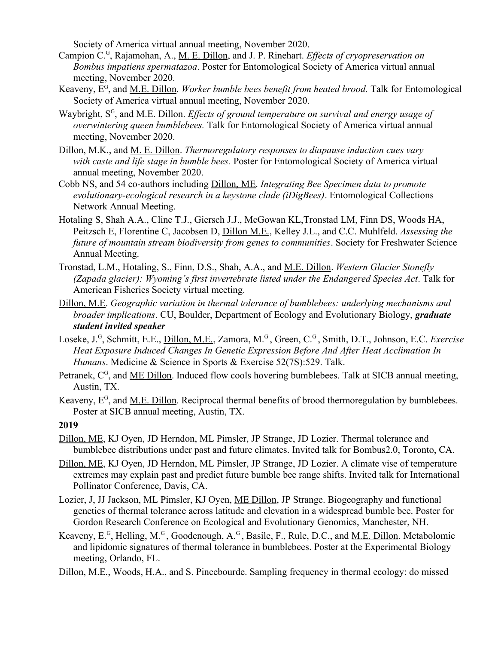Society of America virtual annual meeting, November 2020.

- Campion C.<sup>G</sup>, Rajamohan, A., <u>M. E. Dillon</u>, and J. P. Rinehart. *Effects of cryopreservation on Bombus impatiens spermatazoa*. Poster for Entomological Society of America virtual annual meeting, November 2020.
- Keaveny, E<sup>G</sup>, and <u>M.E. Dillon</u>. *Worker bumble bees benefit from heated brood*. Talk for Entomological Society of America virtual annual meeting, November 2020.
- Waybright, S<sup>G</sup>, and <u>M.E. Dillon</u>. *Effects of ground temperature on survival and energy usage of overwintering queen bumblebees.* Talk for Entomological Society of America virtual annual meeting, November 2020.
- Dillon, M.K., and M. E. Dillon. *Thermoregulatory responses to diapause induction cues vary with caste and life stage in bumble bees.* Poster for Entomological Society of America virtual annual meeting, November 2020.
- Cobb NS, and 54 co-authors including Dillon, ME. *Integrating Bee Specimen data to promote evolutionary-ecological research in a keystone clade (iDigBees)*. Entomological Collections Network Annual Meeting.
- Hotaling S, Shah A.A., Cline T.J., Giersch J.J., McGowan KL,Tronstad LM, Finn DS, Woods HA, Peitzsch E, Florentine C, Jacobsen D, Dillon M.E., Kelley J.L., and C.C. Muhlfeld. *Assessing the future of mountain stream biodiversity from genes to communities*. Society for Freshwater Science Annual Meeting.
- Tronstad, L.M., Hotaling, S., Finn, D.S., Shah, A.A., and M.E. Dillon. *Western Glacier Stonefly (Zapada glacier): Wyoming's first invertebrate listed under the Endangered Species Act*. Talk for American Fisheries Society virtual meeting.
- Dillon, M.E. *Geographic variation in thermal tolerance of bumblebees: underlying mechanisms and broader implications*. CU, Boulder, Department of Ecology and Evolutionary Biology, *graduate student invited speaker*
- Loseke, J.<sup>G</sup>, Schmitt, E.E., <u>Dillon, M.E.</u>, Zamora, M.<sup>G</sup>, Green, C.<sup>G</sup>, Smith, D.T., Johnson, E.C. *Exercise Heat Exposure Induced Changes In Genetic Expression Before And After Heat Acclimation In Humans*. Medicine & Science in Sports & Exercise 52(7S):529. Talk.
- Petranek, C<sup>G</sup>, and <u>ME Dillon</u>. Induced flow cools hovering bumblebees. Talk at SICB annual meeting, Austin, TX.
- Keaveny, E<sup>G</sup>, and <u>M.E. Dillon</u>. Reciprocal thermal benefits of brood thermoregulation by bumblebees. Poster at SICB annual meeting, Austin, TX.

- Dillon, ME, KJ Oyen, JD Herndon, ML Pimsler, JP Strange, JD Lozier. Thermal tolerance and bumblebee distributions under past and future climates. Invited talk for Bombus2.0, Toronto, CA.
- Dillon, ME, KJ Oyen, JD Herndon, ML Pimsler, JP Strange, JD Lozier. A climate vise of temperature extremes may explain past and predict future bumble bee range shifts. Invited talk for International Pollinator Conference, Davis, CA.
- Lozier, J, JJ Jackson, ML Pimsler, KJ Oyen, ME Dillon, JP Strange. Biogeography and functional genetics of thermal tolerance across latitude and elevation in a widespread bumble bee. Poster for Gordon Research Conference on Ecological and Evolutionary Genomics, Manchester, NH.
- Keaveny, E.<sup>G</sup>, Helling, M.<sup>G</sup>, Goodenough, A.<sup>G</sup>, Basile, F., Rule, D.C., and <u>M.E. Dillon</u>. Metabolomic and lipidomic signatures of thermal tolerance in bumblebees. Poster at the Experimental Biology meeting, Orlando, FL.
- Dillon, M.E., Woods, H.A., and S. Pincebourde. Sampling frequency in thermal ecology: do missed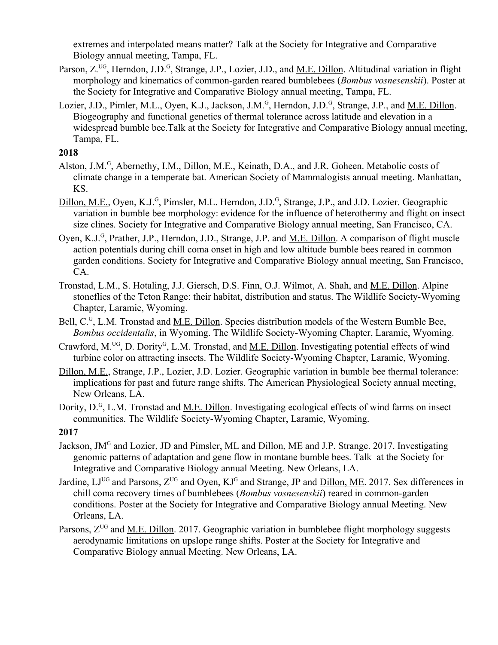extremes and interpolated means matter? Talk at the Society for Integrative and Comparative Biology annual meeting, Tampa, FL.

- Parson, Z.<sup>UG</sup>, Herndon, J.D.<sup>G</sup>, Strange, J.P., Lozier, J.D., and <u>M.E. Dillon</u>. Altitudinal variation in flight morphology and kinematics of common-garden reared bumblebees (*Bombus vosnesenskii*). Poster at the Society for Integrative and Comparative Biology annual meeting, Tampa, FL.
- Lozier, J.D., Pimler, M.L., Oyen, K.J., Jackson, J.M.<sup>G</sup>, Herndon, J.D.<sup>G</sup>, Strange, J.P., and <u>M.E. Dillon</u>. Biogeography and functional genetics of thermal tolerance across latitude and elevation in a widespread bumble bee.Talk at the Society for Integrative and Comparative Biology annual meeting, Tampa, FL.

- Alston, J.M.<sup>G</sup>, Abernethy, I.M., *Dillon, M.E.*, Keinath, D.A., and J.R. Goheen. Metabolic costs of climate change in a temperate bat. American Society of Mammalogists annual meeting. Manhattan, KS.
- Dillon, M.E., Oyen, K.J.<sup>G</sup>, Pimsler, M.L. Herndon, J.D.<sup>G</sup>, Strange, J.P., and J.D. Lozier. Geographic variation in bumble bee morphology: evidence for the influence of heterothermy and flight on insect size clines. Society for Integrative and Comparative Biology annual meeting, San Francisco, CA.
- Oyen, K.J.<sup>G</sup>, Prather, J.P., Herndon, J.D., Strange, J.P. and <u>M.E. Dillon</u>. A comparison of flight muscle action potentials during chill coma onset in high and low altitude bumble bees reared in common garden conditions. Society for Integrative and Comparative Biology annual meeting, San Francisco, CA.
- Tronstad, L.M., S. Hotaling, J.J. Giersch, D.S. Finn, O.J. Wilmot, A. Shah, and M.E. Dillon. Alpine stoneflies of the Teton Range: their habitat, distribution and status. The Wildlife Society-Wyoming Chapter, Laramie, Wyoming.
- Bell, C.<sup>G</sup>, L.M. Tronstad and <u>M.E. Dillon</u>. Species distribution models of the Western Bumble Bee, *Bombus occidentalis*, in Wyoming. The Wildlife Society-Wyoming Chapter, Laramie, Wyoming.
- Crawford, M.<sup>UG</sup>, D. Dority<sup>G</sup>, L.M. Tronstad, and <u>M.E. Dillon</u>. Investigating potential effects of wind turbine color on attracting insects. The Wildlife Society-Wyoming Chapter, Laramie, Wyoming.
- Dillon, M.E., Strange, J.P., Lozier, J.D. Lozier. Geographic variation in bumble bee thermal tolerance: implications for past and future range shifts. The American Physiological Society annual meeting, New Orleans, LA.
- Dority, D.<sup>G</sup>, L.M. Tronstad and <u>M.E. Dillon</u>. Investigating ecological effects of wind farms on insect communities. The Wildlife Society-Wyoming Chapter, Laramie, Wyoming.

- Jackson, JM<sup>G</sup> and Lozier, JD and Pimsler, ML and *Dillon, ME* and J.P. Strange. 2017. Investigating genomic patterns of adaptation and gene flow in montane bumble bees. Talk at the Society for Integrative and Comparative Biology annual Meeting. New Orleans, LA.
- Jardine,  $LI^{UG}$  and Parsons,  $Z^{UG}$  and Oyen,  $KI^G$  and Strange, JP and  $Dillon$ , ME. 2017. Sex differences in chill coma recovery times of bumblebees (*Bombus vosnesenskii*) reared in common-garden conditions. Poster at the Society for Integrative and Comparative Biology annual Meeting. New Orleans, LA.
- Parsons,  $Z^{UG}$  and <u>M.E. Dillon</u>. 2017. Geographic variation in bumblebee flight morphology suggests aerodynamic limitations on upslope range shifts. Poster at the Society for Integrative and Comparative Biology annual Meeting. New Orleans, LA.

**<sup>2017</sup>**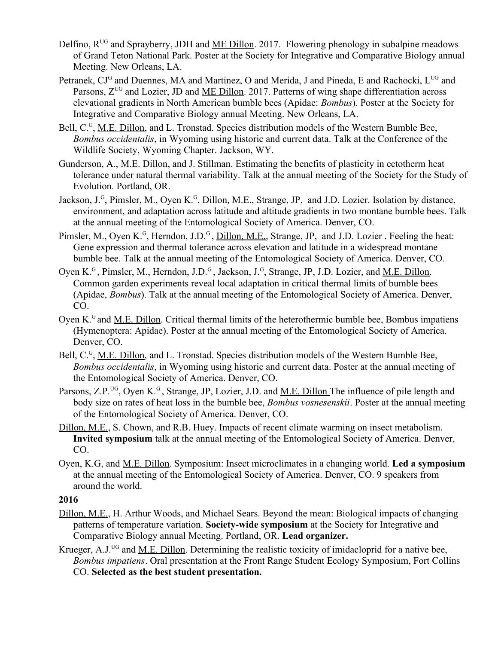- Delfino,  $R^{UG}$  and Sprayberry, JDH and ME Dillon. 2017. Flowering phenology in subalpine meadows of Grand Teton National Park. Poster at the Society for Integrative and Comparative Biology annual Meeting. New Orleans, LA.
- Petranek,  $CI<sup>G</sup>$  and Duennes, MA and Martinez, O and Merida, J and Pineda, E and Rachocki,  $L<sup>UG</sup>$  and Parsons,  $Z^{UG}$  and Lozier, JD and ME Dillon. 2017. Patterns of wing shape differentiation across elevational gradients in North American bumble bees (Apidae: *Bombus*). Poster at the Society for Integrative and Comparative Biology annual Meeting. New Orleans, LA.
- Bell, C.<sup>G</sup>, <u>M.E. Dillon</u>, and L. Tronstad. Species distribution models of the Western Bumble Bee, *Bombus occidentalis*, in Wyoming using historic and current data. Talk at the Conference of the Wildlife Society, Wyoming Chapter. Jackson, WY.
- Gunderson, A., M.E. Dillon, and J. Stillman. Estimating the benefits of plasticity in ectotherm heat tolerance under natural thermal variability. Talk at the annual meeting of the Society for the Study of Evolution. Portland, OR.
- Jackson, J.<sup>G</sup>, Pimsler, M., Oyen K.<sup>G</sup>, Dillon, M.E., Strange, JP, and J.D. Lozier. Isolation by distance, environment, and adaptation across latitude and altitude gradients in two montane bumble bees. Talk at the annual meeting of the Entomological Society of America. Denver, CO.
- Pimsler, M., Oyen K.<sup>G</sup>, Herndon, J.D.<sup>G</sup>, <u>Dillon, M.E.</u>, Strange, JP, and J.D. Lozier. Feeling the heat: Gene expression and thermal tolerance across elevation and latitude in a widespread montane bumble bee. Talk at the annual meeting of the Entomological Society of America. Denver, CO.
- Oyen K.<sup>G</sup>, Pimsler, M., Herndon, J.D.<sup>G</sup>, Jackson, J.<sup>G</sup>, Strange, JP, J.D. Lozier, and <u>M.E. Dillon</u>. Common garden experiments reveal local adaptation in critical thermal limits of bumble bees (Apidae, *Bombus*). Talk at the annual meeting of the Entomological Society of America. Denver, CO.
- Oven K.<sup>G</sup> and M.E. Dillon. Critical thermal limits of the heterothermic bumble bee, Bombus impatiens (Hymenoptera: Apidae). Poster at the annual meeting of the Entomological Society of America. Denver, CO.
- Bell, C.<sup>G</sup>, <u>M.E. Dillon</u>, and L. Tronstad. Species distribution models of the Western Bumble Bee, *Bombus occidentalis*, in Wyoming using historic and current data. Poster at the annual meeting of the Entomological Society of America. Denver, CO.
- Parsons, Z.P.<sup>UG</sup>, Oyen K.<sup>G</sup>, Strange, JP, Lozier, J.D. and M.E. Dillon The influence of pile length and body size on rates of heat loss in the bumble bee, *Bombus vosnesenskii*. Poster at the annual meeting of the Entomological Society of America. Denver, CO.
- Dillon, M.E., S. Chown, and R.B. Huey. Impacts of recent climate warming on insect metabolism. **Invited symposium** talk at the annual meeting of the Entomological Society of America. Denver, CO.
- Oyen, K.G, and M.E. Dillon. Symposium: Insect microclimates in a changing world. **Led a symposium** at the annual meeting of the Entomological Society of America. Denver, CO. 9 speakers from around the world.

- Dillon, M.E., H. Arthur Woods, and Michael Sears. Beyond the mean: Biological impacts of changing patterns of temperature variation. **Society-wide symposium** at the Society for Integrative and Comparative Biology annual Meeting. Portland, OR. **Lead organizer.**
- Krueger, A.J.<sup>UG</sup> and <u>M.E. Dillon</u>. Determining the realistic toxicity of imidacloprid for a native bee, *Bombus impatiens*. Oral presentation at the Front Range Student Ecology Symposium, Fort Collins CO. **Selected as the best student presentation.**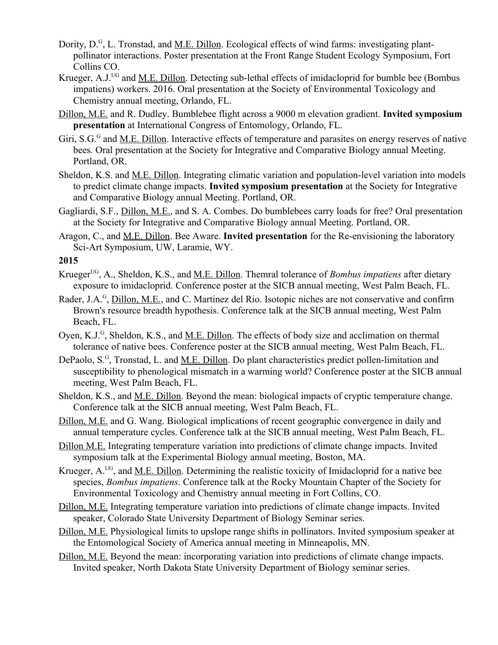- Dority, D.<sup>G</sup>, L. Tronstad, and <u>M.E. Dillon</u>. Ecological effects of wind farms: investigating plantpollinator interactions. Poster presentation at the Front Range Student Ecology Symposium, Fort Collins CO.
- Krueger, A.J.<sup>UG</sup> and M.E. Dillon. Detecting sub-lethal effects of imidacloprid for bumble bee (Bombus impatiens) workers. 2016. Oral presentation at the Society of Environmental Toxicology and Chemistry annual meeting, Orlando, FL.
- Dillon, M.E. and R. Dudley. Bumblebee flight across a 9000 m elevation gradient. **Invited symposium presentation** at International Congress of Entomology, Orlando, FL.
- Giri, S.G.<sup>G</sup> and <u>M.E. Dillon</u>. Interactive effects of temperature and parasites on energy reserves of native bees. Oral presentation at the Society for Integrative and Comparative Biology annual Meeting. Portland, OR.
- Sheldon, K.S. and M.E. Dillon. Integrating climatic variation and population-level variation into models to predict climate change impacts. **Invited symposium presentation** at the Society for Integrative and Comparative Biology annual Meeting. Portland, OR.
- Gagliardi, S.F., Dillon, M.E., and S. A. Combes. Do bumblebees carry loads for free? Oral presentation at the Society for Integrative and Comparative Biology annual Meeting. Portland, OR.
- Aragon, C., and M.E. Dillon. Bee Aware. **Invited presentation** for the Re-envisioning the laboratory Sci-Art Symposium, UW, Laramie, WY.

- Krueger<sup>UG</sup>, A., Sheldon, K.S., and M.E. Dillon. Themral tolerance of *Bombus impatiens* after dietary exposure to imidacloprid. Conference poster at the SICB annual meeting, West Palm Beach, FL.
- Rader, J.A.<sup>G</sup>, Dillon, M.E., and C. Martinez del Rio. Isotopic niches are not conservative and confirm Brown's resource breadth hypothesis. Conference talk at the SICB annual meeting, West Palm Beach, FL.
- Oyen, K.J.<sup>G</sup>, Sheldon, K.S., and <u>M.E. Dillon</u>. The effects of body size and acclimation on thermal tolerance of native bees. Conference poster at the SICB annual meeting, West Palm Beach, FL.
- DePaolo, S.<sup>G</sup>, Tronstad, L. and <u>M.E. Dillon</u>. Do plant characteristics predict pollen-limitation and susceptibility to phenological mismatch in a warming world? Conference poster at the SICB annual meeting, West Palm Beach, FL.
- Sheldon, K.S., and M.E. Dillon. Beyond the mean: biological impacts of cryptic temperature change. Conference talk at the SICB annual meeting, West Palm Beach, FL.
- Dillon, M.E. and G. Wang. Biological implications of recent geographic convergence in daily and annual temperature cycles. Conference talk at the SICB annual meeting, West Palm Beach, FL.
- Dillon M.E. Integrating temperature variation into predictions of climate change impacts. Invited symposium talk at the Experimental Biology annual meeting, Boston, MA.
- Krueger, A.<sup>UG</sup>, and M.E. Dillon. Determining the realistic toxicity of Imidacloprid for a native bee species, *Bombus impatiens*. Conference talk at the Rocky Mountain Chapter of the Society for Environmental Toxicology and Chemistry annual meeting in Fort Collins, CO.
- Dillon, M.E. Integrating temperature variation into predictions of climate change impacts. Invited speaker, Colorado State University Department of Biology Seminar series.
- Dillon, M.E. Physiological limits to upslope range shifts in pollinators. Invited symposium speaker at the Entomological Society of America annual meeting in Minneapolis, MN.
- Dillon, M.E. Beyond the mean: incorporating variation into predictions of climate change impacts. Invited speaker, North Dakota State University Department of Biology seminar series.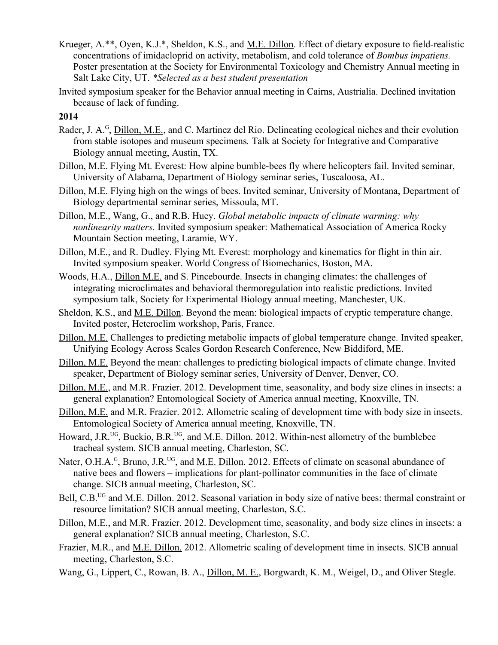- Krueger, A.\*\*, Oyen, K.J.\*, Sheldon, K.S., and M.E. Dillon. Effect of dietary exposure to field-realistic concentrations of imidacloprid on activity, metabolism, and cold tolerance of *Bombus impatiens.* Poster presentation at the Society for Environmental Toxicology and Chemistry Annual meeting in Salt Lake City, UT. *\*Selected as a best student presentation*
- Invited symposium speaker for the Behavior annual meeting in Cairns, Austrialia. Declined invitation because of lack of funding.

- Rader, J. A.<sup>G</sup>, Dillon, M.E., and C. Martinez del Rio. Delineating ecological niches and their evolution from stable isotopes and museum specimens*.* Talk at Society for Integrative and Comparative Biology annual meeting, Austin, TX.
- Dillon, M.E. Flying Mt. Everest: How alpine bumble-bees fly where helicopters fail. Invited seminar, University of Alabama, Department of Biology seminar series, Tuscaloosa, AL.
- Dillon, M.E. Flying high on the wings of bees. Invited seminar, University of Montana, Department of Biology departmental seminar series, Missoula, MT.
- Dillon, M.E., Wang, G., and R.B. Huey. *Global metabolic impacts of climate warming: why nonlinearity matters.* Invited symposium speaker: Mathematical Association of America Rocky Mountain Section meeting, Laramie, WY.
- Dillon, M.E., and R. Dudley. Flying Mt. Everest: morphology and kinematics for flight in thin air. Invited symposium speaker. World Congress of Biomechanics, Boston, MA.
- Woods, H.A., Dillon M.E. and S. Pincebourde. Insects in changing climates: the challenges of integrating microclimates and behavioral thermoregulation into realistic predictions. Invited symposium talk, Society for Experimental Biology annual meeting, Manchester, UK.
- Sheldon, K.S., and M.E. Dillon. Beyond the mean: biological impacts of cryptic temperature change. Invited poster, Heteroclim workshop, Paris, France.
- Dillon, M.E. Challenges to predicting metabolic impacts of global temperature change. Invited speaker, Unifying Ecology Across Scales Gordon Research Conference, New Biddiford, ME.
- Dillon, M.E. Beyond the mean: challenges to predicting biological impacts of climate change. Invited speaker, Department of Biology seminar series, University of Denver, Denver, CO.
- Dillon, M.E., and M.R. Frazier. 2012. Development time, seasonality, and body size clines in insects: a general explanation? Entomological Society of America annual meeting, Knoxville, TN.
- Dillon, M.E. and M.R. Frazier. 2012. Allometric scaling of development time with body size in insects. Entomological Society of America annual meeting, Knoxville, TN.
- Howard, J.R.<sup>UG</sup>, Buckio, B.R.<sup>UG</sup>, and <u>M.E. Dillon</u>. 2012. Within-nest allometry of the bumblebee tracheal system. SICB annual meeting, Charleston, SC.
- Nater, O.H.A.<sup>G</sup>, Bruno, J.R.<sup>UG</sup>, and <u>M.E. Dillon</u>. 2012. Effects of climate on seasonal abundance of native bees and flowers – implications for plant-pollinator communities in the face of climate change. SICB annual meeting, Charleston, SC.
- Bell, C.B.<sup>UG</sup> and M.E. Dillon. 2012. Seasonal variation in body size of native bees: thermal constraint or resource limitation? SICB annual meeting, Charleston, S.C.
- Dillon, M.E., and M.R. Frazier. 2012. Development time, seasonality, and body size clines in insects: a general explanation? SICB annual meeting, Charleston, S.C.
- Frazier, M.R., and M.E. Dillon. 2012. Allometric scaling of development time in insects. SICB annual meeting, Charleston, S.C.
- Wang, G., Lippert, C., Rowan, B. A., Dillon, M. E., Borgwardt, K. M., Weigel, D., and Oliver Stegle.